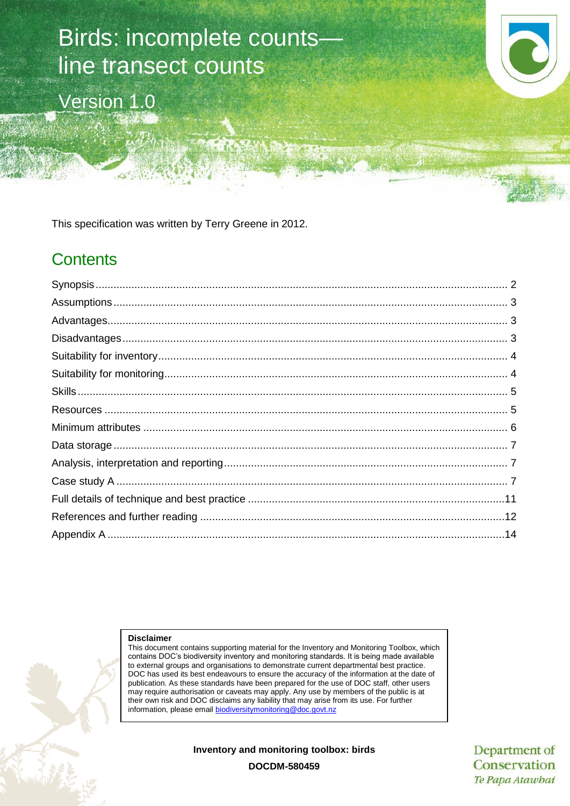# Birds: incomplete counts line transect counts

Version 1.0



This specification was written by Terry Greene in 2012.

## **Contents**

#### **Disclaimer**

This document contains supporting material for the Inventory and Monitoring Toolbox, which contains DOC's biodiversity inventory and monitoring standards. It is being made available to external groups and organisations to demonstrate current departmental best practice. DOC has used its best endeavours to ensure the accuracy of the information at the date of publication. As these standards have been prepared for the use of DOC staff, other users may require authorisation or caveats may apply. Any use by members of the public is at their own risk and DOC disclaims any liability that may arise from its use. For further information, please email [biodiversitymonitoring@doc.govt.nz](mailto:biodiversitymonitoring@doc.govt.nz)

**Inventory and monitoring toolbox: birds**

Department of Conservation Te Papa Atawhai

**DOCDM-580459**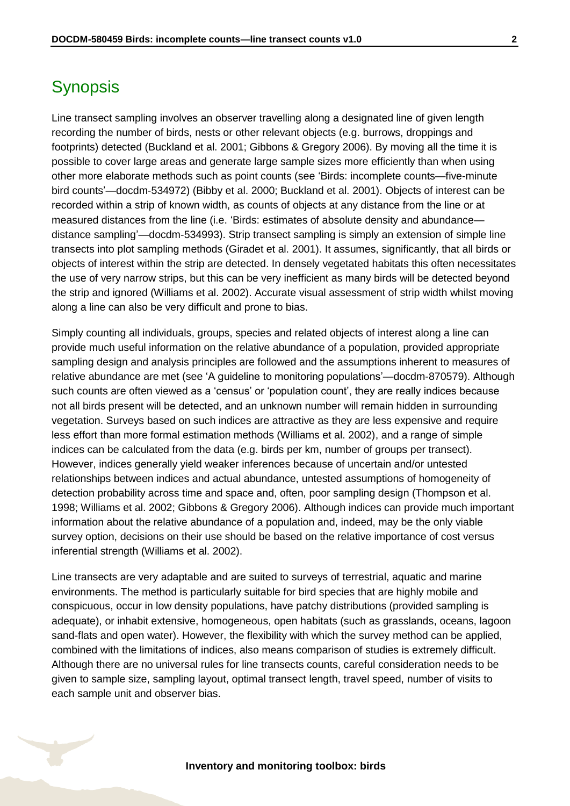## <span id="page-1-0"></span>**Synopsis**

Line transect sampling involves an observer travelling along a designated line of given length recording the number of birds, nests or other relevant objects (e.g. burrows, droppings and footprints) detected (Buckland et al. 2001; Gibbons & Gregory 2006). By moving all the time it is possible to cover large areas and generate large sample sizes more efficiently than when using other more elaborate methods such as point counts (see 'Birds: incomplete counts—five-minute bird counts'—docdm-534972) (Bibby et al. 2000; Buckland et al. 2001). Objects of interest can be recorded within a strip of known width, as counts of objects at any distance from the line or at measured distances from the line (i.e. 'Birds: estimates of absolute density and abundance distance sampling'—docdm-534993). Strip transect sampling is simply an extension of simple line transects into plot sampling methods (Giradet et al. 2001). It assumes, significantly, that all birds or objects of interest within the strip are detected. In densely vegetated habitats this often necessitates the use of very narrow strips, but this can be very inefficient as many birds will be detected beyond the strip and ignored (Williams et al. 2002). Accurate visual assessment of strip width whilst moving along a line can also be very difficult and prone to bias.

Simply counting all individuals, groups, species and related objects of interest along a line can provide much useful information on the relative abundance of a population, provided appropriate sampling design and analysis principles are followed and the assumptions inherent to measures of relative abundance are met (see 'A guideline to monitoring populations'—docdm-870579). Although such counts are often viewed as a 'census' or 'population count', they are really indices because not all birds present will be detected, and an unknown number will remain hidden in surrounding vegetation. Surveys based on such indices are attractive as they are less expensive and require less effort than more formal estimation methods (Williams et al. 2002), and a range of simple indices can be calculated from the data (e.g. birds per km, number of groups per transect). However, indices generally yield weaker inferences because of uncertain and/or untested relationships between indices and actual abundance, untested assumptions of homogeneity of detection probability across time and space and, often, poor sampling design (Thompson et al. 1998; Williams et al. 2002; Gibbons & Gregory 2006). Although indices can provide much important information about the relative abundance of a population and, indeed, may be the only viable survey option, decisions on their use should be based on the relative importance of cost versus inferential strength (Williams et al. 2002).

Line transects are very adaptable and are suited to surveys of terrestrial, aquatic and marine environments. The method is particularly suitable for bird species that are highly mobile and conspicuous, occur in low density populations, have patchy distributions (provided sampling is adequate), or inhabit extensive, homogeneous, open habitats (such as grasslands, oceans, lagoon sand-flats and open water). However, the flexibility with which the survey method can be applied, combined with the limitations of indices, also means comparison of studies is extremely difficult. Although there are no universal rules for line transects counts, careful consideration needs to be given to sample size, sampling layout, optimal transect length, travel speed, number of visits to each sample unit and observer bias.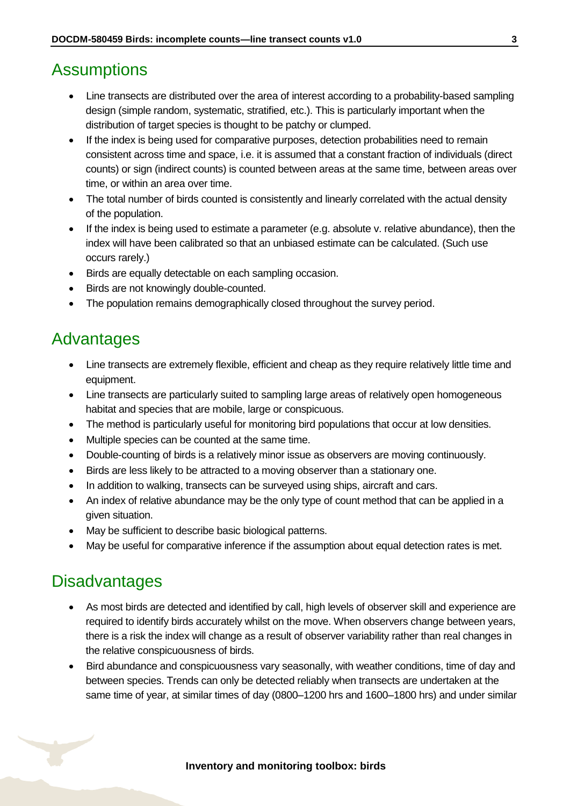## <span id="page-2-0"></span>**Assumptions**

- Line transects are distributed over the area of interest according to a probability-based sampling design (simple random, systematic, stratified, etc.). This is particularly important when the distribution of target species is thought to be patchy or clumped.
- If the index is being used for comparative purposes, detection probabilities need to remain consistent across time and space, i.e. it is assumed that a constant fraction of individuals (direct counts) or sign (indirect counts) is counted between areas at the same time, between areas over time, or within an area over time.
- The total number of birds counted is consistently and linearly correlated with the actual density of the population.
- If the index is being used to estimate a parameter (e.g. absolute v. relative abundance), then the index will have been calibrated so that an unbiased estimate can be calculated. (Such use occurs rarely.)
- Birds are equally detectable on each sampling occasion.
- Birds are not knowingly double-counted.
- The population remains demographically closed throughout the survey period.

## <span id="page-2-1"></span>Advantages

- Line transects are extremely flexible, efficient and cheap as they require relatively little time and equipment.
- Line transects are particularly suited to sampling large areas of relatively open homogeneous habitat and species that are mobile, large or conspicuous.
- The method is particularly useful for monitoring bird populations that occur at low densities.
- Multiple species can be counted at the same time.
- Double-counting of birds is a relatively minor issue as observers are moving continuously.
- Birds are less likely to be attracted to a moving observer than a stationary one.
- In addition to walking, transects can be surveyed using ships, aircraft and cars.
- An index of relative abundance may be the only type of count method that can be applied in a given situation.
- May be sufficient to describe basic biological patterns.
- May be useful for comparative inference if the assumption about equal detection rates is met.

## <span id="page-2-2"></span>**Disadvantages**

- As most birds are detected and identified by call, high levels of observer skill and experience are required to identify birds accurately whilst on the move. When observers change between years, there is a risk the index will change as a result of observer variability rather than real changes in the relative conspicuousness of birds.
- Bird abundance and conspicuousness vary seasonally, with weather conditions, time of day and between species. Trends can only be detected reliably when transects are undertaken at the same time of year, at similar times of day (0800–1200 hrs and 1600–1800 hrs) and under similar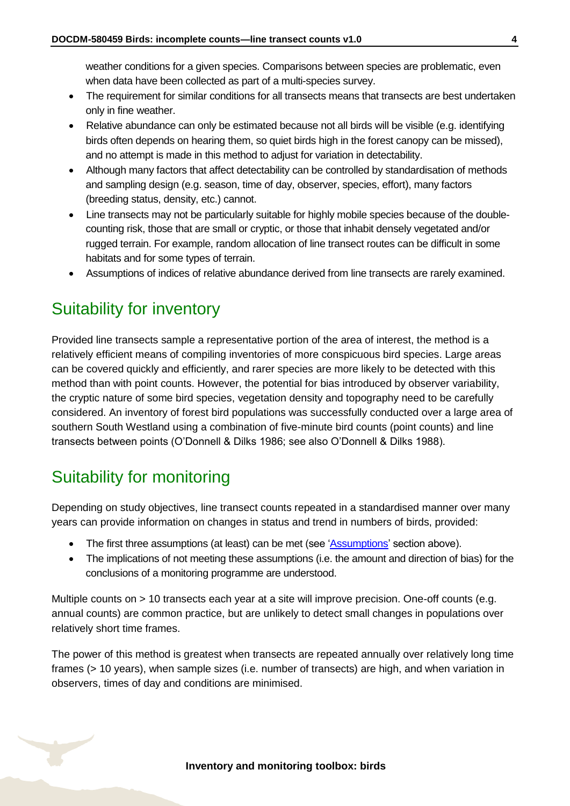weather conditions for a given species. Comparisons between species are problematic, even when data have been collected as part of a multi-species survey.

- The requirement for similar conditions for all transects means that transects are best undertaken only in fine weather.
- Relative abundance can only be estimated because not all birds will be visible (e.g. identifying birds often depends on hearing them, so quiet birds high in the forest canopy can be missed), and no attempt is made in this method to adjust for variation in detectability.
- Although many factors that affect detectability can be controlled by standardisation of methods and sampling design (e.g. season, time of day, observer, species, effort), many factors (breeding status, density, etc.) cannot.
- Line transects may not be particularly suitable for highly mobile species because of the doublecounting risk, those that are small or cryptic, or those that inhabit densely vegetated and/or rugged terrain. For example, random allocation of line transect routes can be difficult in some habitats and for some types of terrain.
- Assumptions of indices of relative abundance derived from line transects are rarely examined.

# <span id="page-3-0"></span>Suitability for inventory

Provided line transects sample a representative portion of the area of interest, the method is a relatively efficient means of compiling inventories of more conspicuous bird species. Large areas can be covered quickly and efficiently, and rarer species are more likely to be detected with this method than with point counts. However, the potential for bias introduced by observer variability, the cryptic nature of some bird species, vegetation density and topography need to be carefully considered. An inventory of forest bird populations was successfully conducted over a large area of southern South Westland using a combination of five-minute bird counts (point counts) and line transects between points (O'Donnell & Dilks 1986; see also O'Donnell & Dilks 1988).

# <span id="page-3-1"></span>Suitability for monitoring

Depending on study objectives, line transect counts repeated in a standardised manner over many years can provide information on changes in status and trend in numbers of birds, provided:

- The first three assumptions (at least) can be met (see ['Assumptions'](#page-2-0) section above).
- The implications of not meeting these assumptions (i.e. the amount and direction of bias) for the conclusions of a monitoring programme are understood.

Multiple counts on > 10 transects each year at a site will improve precision. One-off counts (e.g. annual counts) are common practice, but are unlikely to detect small changes in populations over relatively short time frames.

The power of this method is greatest when transects are repeated annually over relatively long time frames (> 10 years), when sample sizes (i.e. number of transects) are high, and when variation in observers, times of day and conditions are minimised.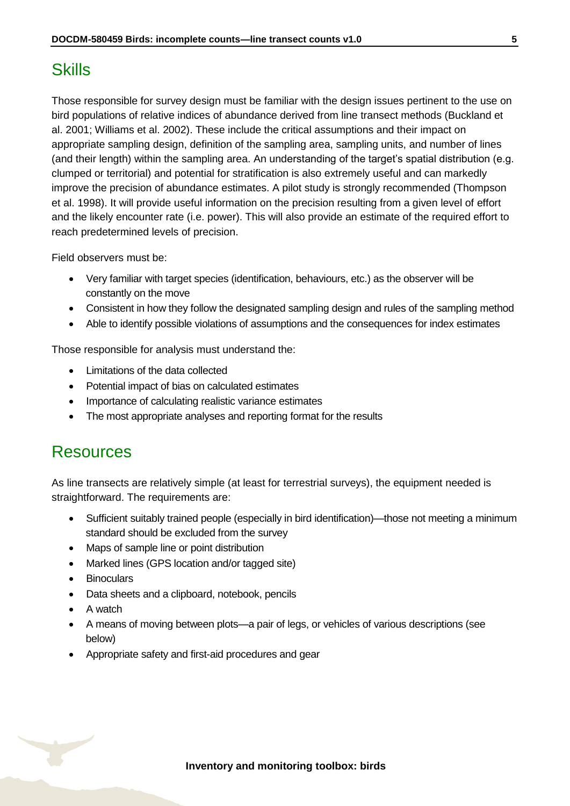# <span id="page-4-0"></span>**Skills**

Those responsible for survey design must be familiar with the design issues pertinent to the use on bird populations of relative indices of abundance derived from line transect methods (Buckland et al. 2001; Williams et al. 2002). These include the critical assumptions and their impact on appropriate sampling design, definition of the sampling area, sampling units, and number of lines (and their length) within the sampling area. An understanding of the target's spatial distribution (e.g. clumped or territorial) and potential for stratification is also extremely useful and can markedly improve the precision of abundance estimates. A pilot study is strongly recommended (Thompson et al. 1998). It will provide useful information on the precision resulting from a given level of effort and the likely encounter rate (i.e. power). This will also provide an estimate of the required effort to reach predetermined levels of precision.

Field observers must be:

- Very familiar with target species (identification, behaviours, etc.) as the observer will be constantly on the move
- Consistent in how they follow the designated sampling design and rules of the sampling method
- Able to identify possible violations of assumptions and the consequences for index estimates

Those responsible for analysis must understand the:

- Limitations of the data collected
- Potential impact of bias on calculated estimates
- Importance of calculating realistic variance estimates
- The most appropriate analyses and reporting format for the results

## <span id="page-4-1"></span>Resources

As line transects are relatively simple (at least for terrestrial surveys), the equipment needed is straightforward. The requirements are:

- Sufficient suitably trained people (especially in bird identification)—those not meeting a minimum standard should be excluded from the survey
- Maps of sample line or point distribution
- Marked lines (GPS location and/or tagged site)
- Binoculars
- Data sheets and a clipboard, notebook, pencils
- A watch
- A means of moving between plots—a pair of legs, or vehicles of various descriptions (see below)
- Appropriate safety and first-aid procedures and gear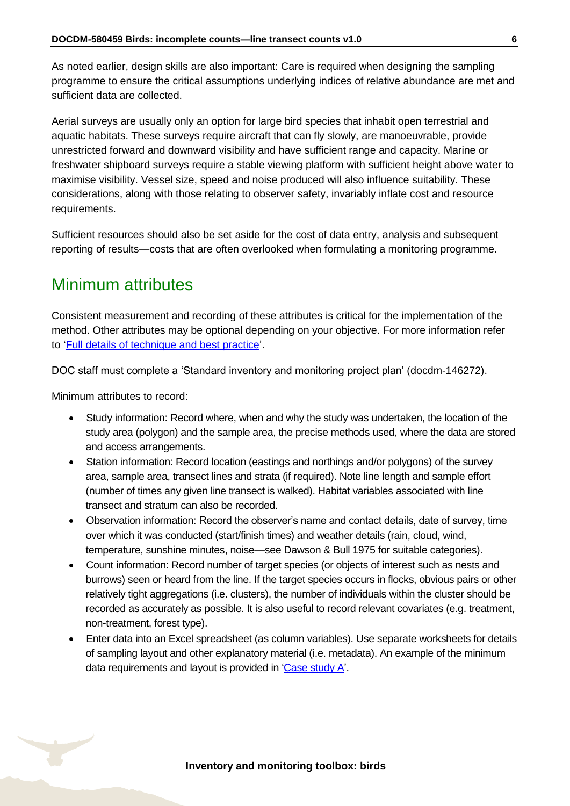As noted earlier, design skills are also important: Care is required when designing the sampling programme to ensure the critical assumptions underlying indices of relative abundance are met and sufficient data are collected.

Aerial surveys are usually only an option for large bird species that inhabit open terrestrial and aquatic habitats. These surveys require aircraft that can fly slowly, are manoeuvrable, provide unrestricted forward and downward visibility and have sufficient range and capacity. Marine or freshwater shipboard surveys require a stable viewing platform with sufficient height above water to maximise visibility. Vessel size, speed and noise produced will also influence suitability. These considerations, along with those relating to observer safety, invariably inflate cost and resource requirements.

Sufficient resources should also be set aside for the cost of data entry, analysis and subsequent reporting of results—costs that are often overlooked when formulating a monitoring programme.

# <span id="page-5-0"></span>Minimum attributes

Consistent measurement and recording of these attributes is critical for the implementation of the method. Other attributes may be optional depending on your objective. For more information refer to ['Full details of technique and best practice'](#page-10-0).

DOC staff must complete a 'Standard inventory and monitoring project plan' (docdm-146272).

Minimum attributes to record:

- Study information: Record where, when and why the study was undertaken, the location of the study area (polygon) and the sample area, the precise methods used, where the data are stored and access arrangements.
- Station information: Record location (eastings and northings and/or polygons) of the survey area, sample area, transect lines and strata (if required). Note line length and sample effort (number of times any given line transect is walked). Habitat variables associated with line transect and stratum can also be recorded.
- Observation information: Record the observer's name and contact details, date of survey, time over which it was conducted (start/finish times) and weather details (rain, cloud, wind, temperature, sunshine minutes, noise—see Dawson & Bull 1975 for suitable categories).
- Count information: Record number of target species (or objects of interest such as nests and burrows) seen or heard from the line. If the target species occurs in flocks, obvious pairs or other relatively tight aggregations (i.e. clusters), the number of individuals within the cluster should be recorded as accurately as possible. It is also useful to record relevant covariates (e.g. treatment, non-treatment, forest type).
- Enter data into an Excel spreadsheet (as column variables). Use separate worksheets for details of sampling layout and other explanatory material (i.e. metadata). An example of the minimum data requirements and layout is provided in ['Case study A'.](#page-6-2)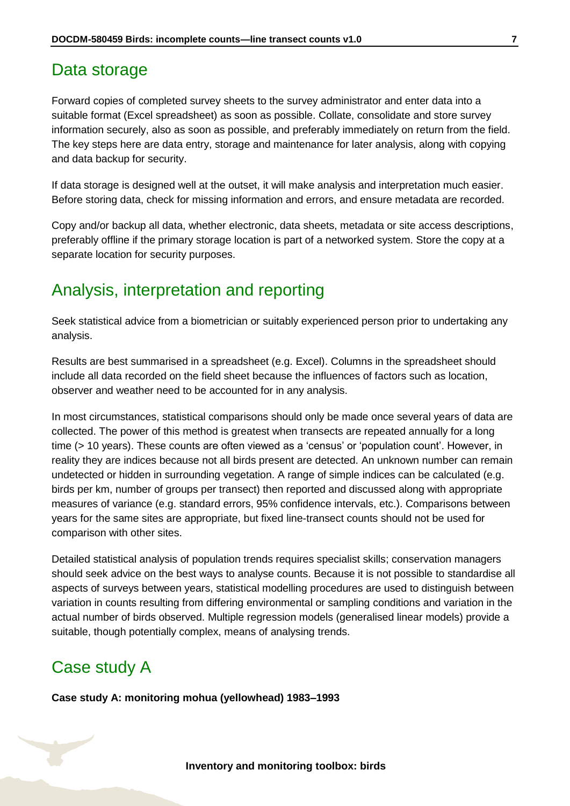#### <span id="page-6-0"></span>Data storage

Forward copies of completed survey sheets to the survey administrator and enter data into a suitable format (Excel spreadsheet) as soon as possible. Collate, consolidate and store survey information securely, also as soon as possible, and preferably immediately on return from the field. The key steps here are data entry, storage and maintenance for later analysis, along with copying and data backup for security.

If data storage is designed well at the outset, it will make analysis and interpretation much easier. Before storing data, check for missing information and errors, and ensure metadata are recorded.

Copy and/or backup all data, whether electronic, data sheets, metadata or site access descriptions, preferably offline if the primary storage location is part of a networked system. Store the copy at a separate location for security purposes.

## <span id="page-6-1"></span>Analysis, interpretation and reporting

Seek statistical advice from a biometrician or suitably experienced person prior to undertaking any analysis.

Results are best summarised in a spreadsheet (e.g. Excel). Columns in the spreadsheet should include all data recorded on the field sheet because the influences of factors such as location, observer and weather need to be accounted for in any analysis.

In most circumstances, statistical comparisons should only be made once several years of data are collected. The power of this method is greatest when transects are repeated annually for a long time (> 10 years). These counts are often viewed as a 'census' or 'population count'. However, in reality they are indices because not all birds present are detected. An unknown number can remain undetected or hidden in surrounding vegetation. A range of simple indices can be calculated (e.g. birds per km, number of groups per transect) then reported and discussed along with appropriate measures of variance (e.g. standard errors, 95% confidence intervals, etc.). Comparisons between years for the same sites are appropriate, but fixed line-transect counts should not be used for comparison with other sites.

Detailed statistical analysis of population trends requires specialist skills; conservation managers should seek advice on the best ways to analyse counts. Because it is not possible to standardise all aspects of surveys between years, statistical modelling procedures are used to distinguish between variation in counts resulting from differing environmental or sampling conditions and variation in the actual number of birds observed. Multiple regression models (generalised linear models) provide a suitable, though potentially complex, means of analysing trends.

### <span id="page-6-2"></span>Case study A

**Case study A: monitoring mohua (yellowhead) 1983–1993**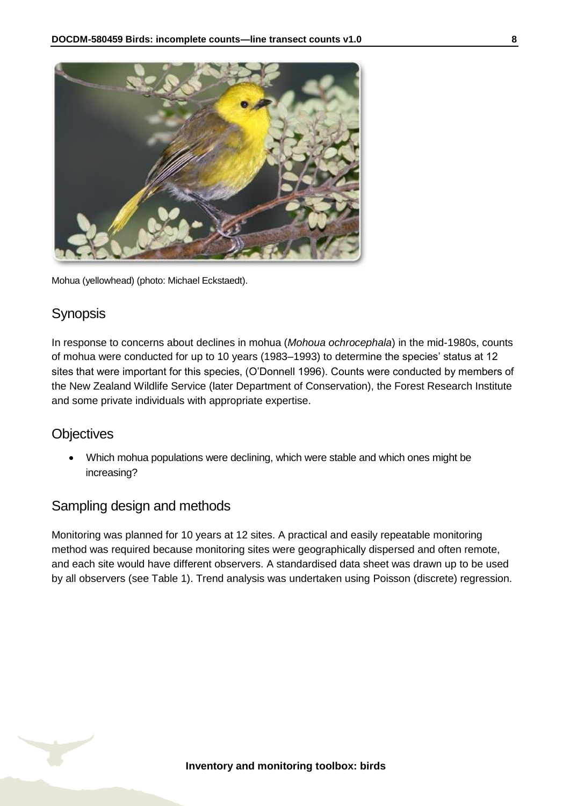

Mohua (yellowhead) (photo: Michael Eckstaedt).

#### **Synopsis**

In response to concerns about declines in mohua (*Mohoua ochrocephala*) in the mid-1980s, counts of mohua were conducted for up to 10 years (1983–1993) to determine the species' status at 12 sites that were important for this species, (O'Donnell 1996). Counts were conducted by members of the New Zealand Wildlife Service (later Department of Conservation), the Forest Research Institute and some private individuals with appropriate expertise.

#### **Objectives**

 Which mohua populations were declining, which were stable and which ones might be increasing?

#### Sampling design and methods

Monitoring was planned for 10 years at 12 sites. A practical and easily repeatable monitoring method was required because monitoring sites were geographically dispersed and often remote, and each site would have different observers. A standardised data sheet was drawn up to be used by all observers (see Table 1). Trend analysis was undertaken using Poisson (discrete) regression.

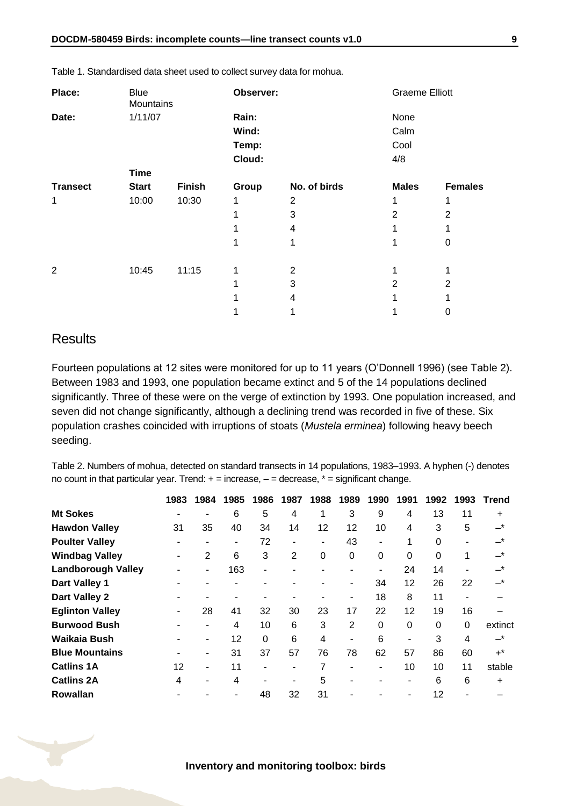| Place:          | <b>Blue</b><br>Mountains |               | Observer: |              |                | <b>Graeme Elliott</b> |  |  |
|-----------------|--------------------------|---------------|-----------|--------------|----------------|-----------------------|--|--|
| Date:           | 1/11/07                  |               | Rain:     |              | None           |                       |  |  |
|                 |                          |               | Wind:     |              | Calm           |                       |  |  |
|                 |                          |               | Temp:     |              | Cool           |                       |  |  |
|                 |                          |               | Cloud:    |              | 4/8            |                       |  |  |
|                 | <b>Time</b>              |               |           |              |                |                       |  |  |
| <b>Transect</b> | <b>Start</b>             | <b>Finish</b> | Group     | No. of birds | <b>Males</b>   | <b>Females</b>        |  |  |
| 1               | 10:00                    | 10:30         | 1         | 2            |                | 1                     |  |  |
|                 |                          |               |           | 3            | $\overline{2}$ | $\overline{2}$        |  |  |
|                 |                          |               |           | 4            |                |                       |  |  |
|                 |                          |               |           |              |                | 0                     |  |  |
| 2               | 10:45                    | 11:15         | 1         | 2            |                | 1                     |  |  |
|                 |                          |               |           | 3            | 2              | 2                     |  |  |
|                 |                          |               |           | 4            |                |                       |  |  |
|                 |                          |               |           |              |                | 0                     |  |  |

Table 1. Standardised data sheet used to collect survey data for mohua.

#### **Results**

Fourteen populations at 12 sites were monitored for up to 11 years (O'Donnell 1996) (see Table 2). Between 1983 and 1993, one population became extinct and 5 of the 14 populations declined significantly. Three of these were on the verge of extinction by 1993. One population increased, and seven did not change significantly, although a declining trend was recorded in five of these. Six population crashes coincided with irruptions of stoats (*Mustela erminea*) following heavy beech seeding.

Table 2. Numbers of mohua, detected on standard transects in 14 populations, 1983–1993. A hyphen (-) denotes no count in that particular year. Trend:  $+$  = increase,  $-$  = decrease,  $*$  = significant change.

|                           | 1983 | 1984 | 1985 | 1986     | 1987           | 1988     | 1989        | 1990           | 1991     | 1992     | 1993     | Trend     |
|---------------------------|------|------|------|----------|----------------|----------|-------------|----------------|----------|----------|----------|-----------|
| <b>Mt Sokes</b>           |      |      | 6    | 5        | 4              | 1        | 3           | 9              | 4        | 13       | 11       | +         |
| <b>Hawdon Valley</b>      | 31   | 35   | 40   | 34       | 14             | 12       | 12          | 10             | 4        | 3        | 5        | $-^\star$ |
| <b>Poulter Valley</b>     |      |      | ۰    | 72       | $\blacksquare$ | ۰.       | 43          |                | 1        | 0        |          | _*        |
| <b>Windbag Valley</b>     |      | 2    | 6    | 3        | 2              | $\Omega$ | $\mathbf 0$ | $\Omega$       | $\Omega$ | $\Omega$ | 1        | –*        |
| <b>Landborough Valley</b> |      | ۰    | 163  | ٠        |                |          | ۰           | $\blacksquare$ | 24       | 14       |          | –*        |
| Dart Valley 1             |      |      |      |          |                |          | ۰           | 34             | 12       | 26       | 22       | –*        |
| Dart Valley 2             |      |      |      |          |                |          | ۰           | 18             | 8        | 11       |          |           |
| <b>Eglinton Valley</b>    |      | 28   | 41   | 32       | 30             | 23       | 17          | 22             | 12       | 19       | 16       |           |
| <b>Burwood Bush</b>       |      |      | 4    | 10       | 6              | 3        | 2           | $\Omega$       | $\Omega$ | 0        | $\Omega$ | extinct   |
| Waikaia Bush              |      | ٠    | 12   | $\Omega$ | 6              | 4        | ۰           | 6              | ۰        | 3        | 4        | $-$ *     |
| <b>Blue Mountains</b>     |      | ٠    | 31   | 37       | 57             | 76       | 78          | 62             | 57       | 86       | 60       | $+^*$     |
| <b>Catlins 1A</b>         | 12   | ۰    | 11   | ۰        | $\blacksquare$ | 7        | ٠           | ۰              | 10       | 10       | 11       | stable    |
| <b>Catlins 2A</b>         | 4    |      | 4    |          | -              | 5        |             |                |          | 6        | 6        | +         |
| <b>Rowallan</b>           |      |      |      | 48       | 32             | 31       |             |                |          | 12       |          |           |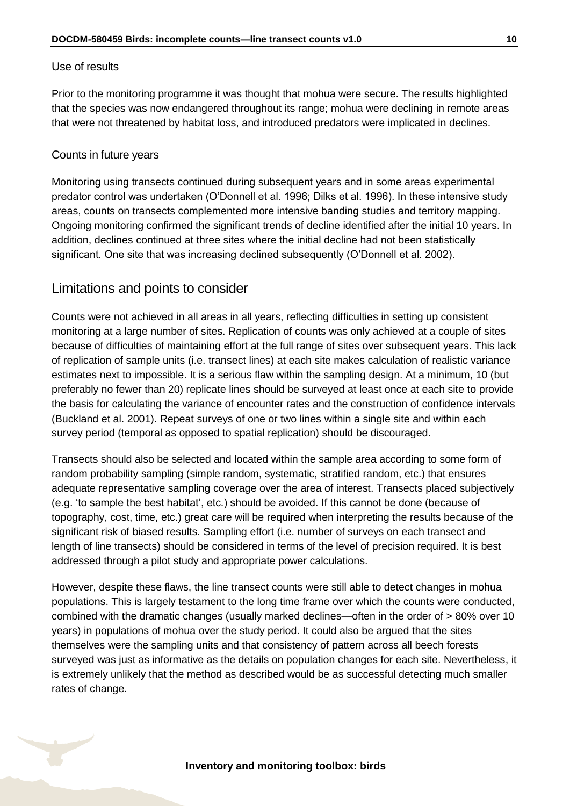#### Use of results

Prior to the monitoring programme it was thought that mohua were secure. The results highlighted that the species was now endangered throughout its range; mohua were declining in remote areas that were not threatened by habitat loss, and introduced predators were implicated in declines.

#### Counts in future years

Monitoring using transects continued during subsequent years and in some areas experimental predator control was undertaken (O'Donnell et al. 1996; Dilks et al. 1996). In these intensive study areas, counts on transects complemented more intensive banding studies and territory mapping. Ongoing monitoring confirmed the significant trends of decline identified after the initial 10 years. In addition, declines continued at three sites where the initial decline had not been statistically significant. One site that was increasing declined subsequently (O'Donnell et al. 2002).

#### Limitations and points to consider

Counts were not achieved in all areas in all years, reflecting difficulties in setting up consistent monitoring at a large number of sites. Replication of counts was only achieved at a couple of sites because of difficulties of maintaining effort at the full range of sites over subsequent years. This lack of replication of sample units (i.e. transect lines) at each site makes calculation of realistic variance estimates next to impossible. It is a serious flaw within the sampling design. At a minimum, 10 (but preferably no fewer than 20) replicate lines should be surveyed at least once at each site to provide the basis for calculating the variance of encounter rates and the construction of confidence intervals (Buckland et al. 2001). Repeat surveys of one or two lines within a single site and within each survey period (temporal as opposed to spatial replication) should be discouraged.

Transects should also be selected and located within the sample area according to some form of random probability sampling (simple random, systematic, stratified random, etc.) that ensures adequate representative sampling coverage over the area of interest. Transects placed subjectively (e.g. 'to sample the best habitat', etc.) should be avoided. If this cannot be done (because of topography, cost, time, etc.) great care will be required when interpreting the results because of the significant risk of biased results. Sampling effort (i.e. number of surveys on each transect and length of line transects) should be considered in terms of the level of precision required. It is best addressed through a pilot study and appropriate power calculations.

However, despite these flaws, the line transect counts were still able to detect changes in mohua populations. This is largely testament to the long time frame over which the counts were conducted, combined with the dramatic changes (usually marked declines—often in the order of > 80% over 10 years) in populations of mohua over the study period. It could also be argued that the sites themselves were the sampling units and that consistency of pattern across all beech forests surveyed was just as informative as the details on population changes for each site. Nevertheless, it is extremely unlikely that the method as described would be as successful detecting much smaller rates of change.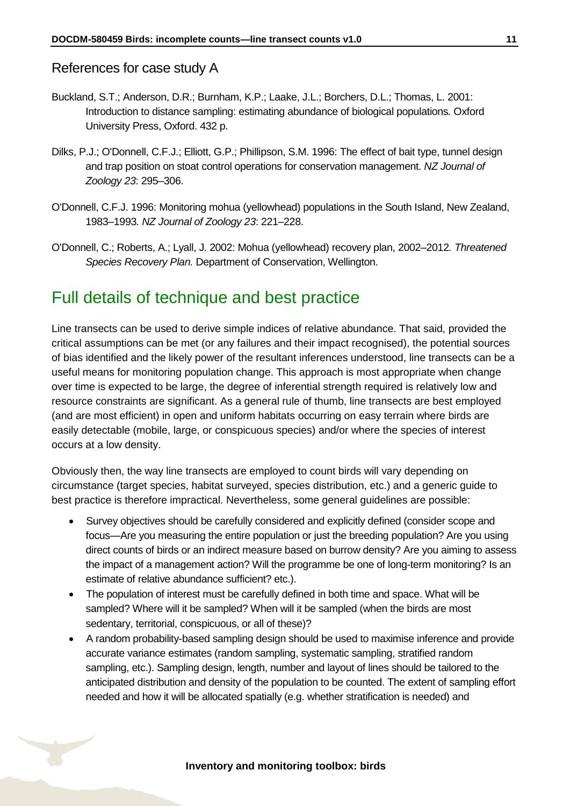#### References for case study A

- Buckland, S.T.; Anderson, D.R.; Burnham, K.P.; Laake, J.L.; Borchers, D.L.; Thomas, L. 2001: Introduction to distance sampling: estimating abundance of biological populations*.* Oxford University Press, Oxford. 432 p.
- Dilks, P.J.; O'Donnell, C.F.J.; Elliott, G.P.; Phillipson, S.M. 1996: The effect of bait type, tunnel design and trap position on stoat control operations for conservation management. *NZ Journal of Zoology 23*: 295–306.
- O'Donnell, C.F.J. 1996: Monitoring mohua (yellowhead) populations in the South Island, New Zealand, 1983–1993*. NZ Journal of Zoology 23*: 221–228.
- O'Donnell, C.; Roberts, A.; Lyall, J. 2002: Mohua (yellowhead) recovery plan, 2002–2012*. Threatened Species Recovery Plan.* Department of Conservation, Wellington.

# <span id="page-10-0"></span>Full details of technique and best practice

Line transects can be used to derive simple indices of relative abundance. That said, provided the critical assumptions can be met (or any failures and their impact recognised), the potential sources of bias identified and the likely power of the resultant inferences understood, line transects can be a useful means for monitoring population change. This approach is most appropriate when change over time is expected to be large, the degree of inferential strength required is relatively low and resource constraints are significant. As a general rule of thumb, line transects are best employed (and are most efficient) in open and uniform habitats occurring on easy terrain where birds are easily detectable (mobile, large, or conspicuous species) and/or where the species of interest occurs at a low density.

Obviously then, the way line transects are employed to count birds will vary depending on circumstance (target species, habitat surveyed, species distribution, etc.) and a generic guide to best practice is therefore impractical. Nevertheless, some general guidelines are possible:

- Survey objectives should be carefully considered and explicitly defined (consider scope and focus—Are you measuring the entire population or just the breeding population? Are you using direct counts of birds or an indirect measure based on burrow density? Are you aiming to assess the impact of a management action? Will the programme be one of long-term monitoring? Is an estimate of relative abundance sufficient? etc.).
- The population of interest must be carefully defined in both time and space. What will be sampled? Where will it be sampled? When will it be sampled (when the birds are most sedentary, territorial, conspicuous, or all of these)?
- A random probability-based sampling design should be used to maximise inference and provide accurate variance estimates (random sampling, systematic sampling, stratified random sampling, etc.). Sampling design, length, number and layout of lines should be tailored to the anticipated distribution and density of the population to be counted. The extent of sampling effort needed and how it will be allocated spatially (e.g. whether stratification is needed) and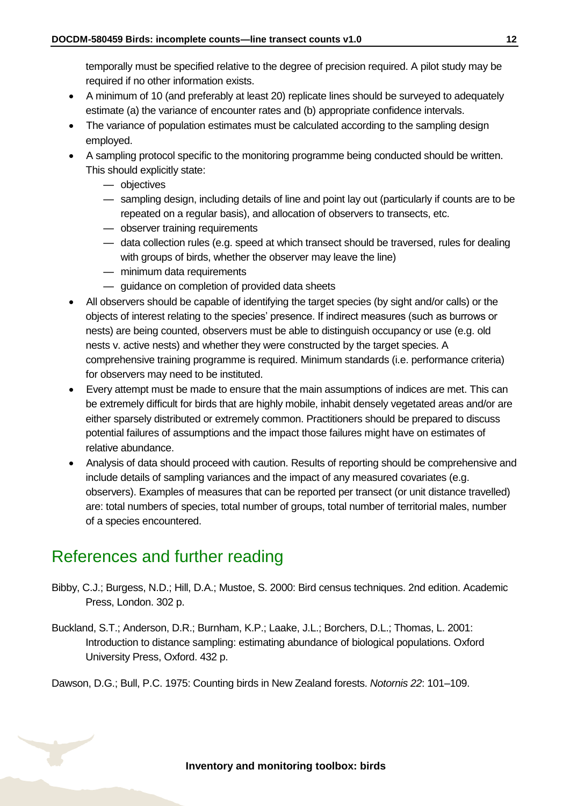temporally must be specified relative to the degree of precision required. A pilot study may be required if no other information exists.

- A minimum of 10 (and preferably at least 20) replicate lines should be surveyed to adequately estimate (a) the variance of encounter rates and (b) appropriate confidence intervals.
- The variance of population estimates must be calculated according to the sampling design employed.
- A sampling protocol specific to the monitoring programme being conducted should be written. This should explicitly state:
	- objectives
	- sampling design, including details of line and point lay out (particularly if counts are to be repeated on a regular basis), and allocation of observers to transects, etc.
	- observer training requirements
	- data collection rules (e.g. speed at which transect should be traversed, rules for dealing with groups of birds, whether the observer may leave the line)
	- minimum data requirements
	- guidance on completion of provided data sheets
- All observers should be capable of identifying the target species (by sight and/or calls) or the objects of interest relating to the species' presence. If indirect measures (such as burrows or nests) are being counted, observers must be able to distinguish occupancy or use (e.g. old nests v. active nests) and whether they were constructed by the target species. A comprehensive training programme is required. Minimum standards (i.e. performance criteria) for observers may need to be instituted.
- Every attempt must be made to ensure that the main assumptions of indices are met. This can be extremely difficult for birds that are highly mobile, inhabit densely vegetated areas and/or are either sparsely distributed or extremely common. Practitioners should be prepared to discuss potential failures of assumptions and the impact those failures might have on estimates of relative abundance.
- Analysis of data should proceed with caution. Results of reporting should be comprehensive and include details of sampling variances and the impact of any measured covariates (e.g. observers). Examples of measures that can be reported per transect (or unit distance travelled) are: total numbers of species, total number of groups, total number of territorial males, number of a species encountered.

## <span id="page-11-0"></span>References and further reading

- Bibby, C.J.; Burgess, N.D.; Hill, D.A.; Mustoe, S. 2000: Bird census techniques. 2nd edition. Academic Press, London. 302 p.
- Buckland, S.T.; Anderson, D.R.; Burnham, K.P.; Laake, J.L.; Borchers, D.L.; Thomas, L. 2001: Introduction to distance sampling: estimating abundance of biological populations. Oxford University Press, Oxford. 432 p.

Dawson, D.G.; Bull, P.C. 1975: Counting birds in New Zealand forests. *Notornis 22*: 101–109.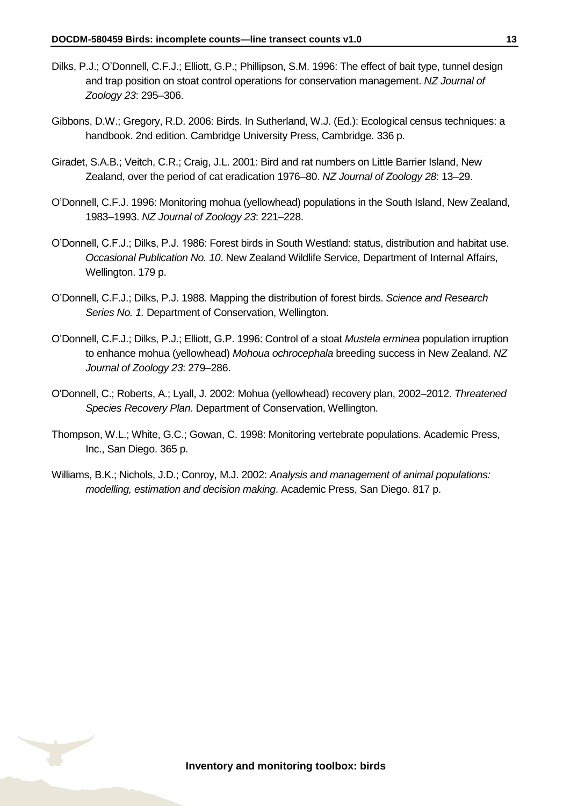- Dilks, P.J.; O'Donnell, C.F.J.; Elliott, G.P.; Phillipson, S.M. 1996: The effect of bait type, tunnel design and trap position on stoat control operations for conservation management. *NZ Journal of Zoology 23*: 295–306.
- Gibbons, D.W.; Gregory, R.D. 2006: Birds. In Sutherland, W.J. (Ed.): Ecological census techniques: a handbook. 2nd edition. Cambridge University Press, Cambridge. 336 p.
- Giradet, S.A.B.; Veitch, C.R.; Craig, J.L. 2001: Bird and rat numbers on Little Barrier Island, New Zealand, over the period of cat eradication 1976–80. *NZ Journal of Zoology 28*: 13–29.
- O'Donnell, C.F.J. 1996: Monitoring mohua (yellowhead) populations in the South Island, New Zealand, 1983–1993. *NZ Journal of Zoology 23*: 221–228.
- O'Donnell, C.F.J.; Dilks, P.J. 1986: Forest birds in South Westland: status, distribution and habitat use. *Occasional Publication No. 10*. New Zealand Wildlife Service, Department of Internal Affairs, Wellington. 179 p.
- O'Donnell, C.F.J.; Dilks, P.J. 1988. Mapping the distribution of forest birds. *Science and Research Series No. 1.* Department of Conservation, Wellington.
- O'Donnell, C.F.J.; Dilks, P.J.; Elliott, G.P. 1996: Control of a stoat *Mustela erminea* population irruption to enhance mohua (yellowhead) *Mohoua ochrocephala* breeding success in New Zealand. *NZ Journal of Zoology 23*: 279–286.
- O'Donnell, C.; Roberts, A.; Lyall, J. 2002: Mohua (yellowhead) recovery plan, 2002–2012. *Threatened Species Recovery Plan*. Department of Conservation, Wellington.
- Thompson, W.L.; White, G.C.; Gowan, C. 1998: Monitoring vertebrate populations. Academic Press, Inc., San Diego. 365 p.
- Williams, B.K.; Nichols, J.D.; Conroy, M.J. 2002: *Analysis and management of animal populations: modelling, estimation and decision making*. Academic Press, San Diego. 817 p.